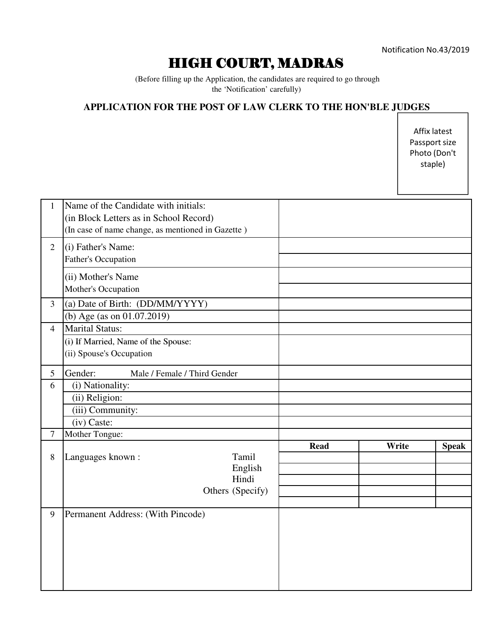## HIGH COURT, MADRAS

 (Before filling up the Application, the candidates are required to go through the 'Notification' carefully)

## **APPLICATION FOR THE POST OF LAW CLERK TO THE HON'BLE JUDGES**

Affix latest Passport size Photo (Don't staple)

| $\mathbf{1}$     | Name of the Candidate with initials:<br>(in Block Letters as in School Record)<br>(In case of name change, as mentioned in Gazette) |         |             |       |              |
|------------------|-------------------------------------------------------------------------------------------------------------------------------------|---------|-------------|-------|--------------|
| $\overline{2}$   | (i) Father's Name:<br>Father's Occupation                                                                                           |         |             |       |              |
|                  | (ii) Mother's Name<br>Mother's Occupation                                                                                           |         |             |       |              |
| $\overline{3}$   | (a) Date of Birth: (DD/MM/YYYY)                                                                                                     |         |             |       |              |
|                  | (b) Age (as on 01.07.2019)                                                                                                          |         |             |       |              |
| $\overline{4}$   | <b>Marital Status:</b>                                                                                                              |         |             |       |              |
|                  | (i) If Married, Name of the Spouse:<br>(ii) Spouse's Occupation                                                                     |         |             |       |              |
| 5                | Gender:<br>Male / Female / Third Gender                                                                                             |         |             |       |              |
| 6                | (i) Nationality:                                                                                                                    |         |             |       |              |
|                  | (ii) Religion:                                                                                                                      |         |             |       |              |
|                  | (iii) Community:                                                                                                                    |         |             |       |              |
|                  | (iv) Caste:                                                                                                                         |         |             |       |              |
| $\boldsymbol{7}$ | Mother Tongue:                                                                                                                      |         |             |       |              |
| $8\,$            | Tamil<br>Languages known:<br>Hindi<br>Others (Specify)                                                                              | English | <b>Read</b> | Write | <b>Speak</b> |
| 9                | Permanent Address: (With Pincode)                                                                                                   |         |             |       |              |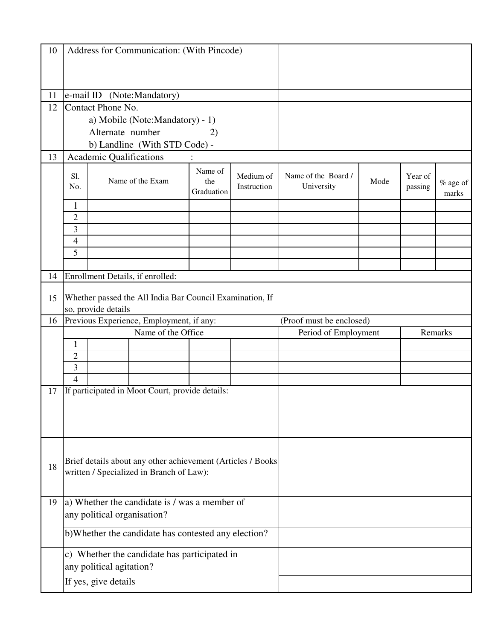| 10 |                                                                          |                         | Address for Communication: (With Pincode)                                                               |                              |                          |                                   |      |                    |                     |
|----|--------------------------------------------------------------------------|-------------------------|---------------------------------------------------------------------------------------------------------|------------------------------|--------------------------|-----------------------------------|------|--------------------|---------------------|
|    |                                                                          |                         |                                                                                                         |                              |                          |                                   |      |                    |                     |
|    |                                                                          |                         |                                                                                                         |                              |                          |                                   |      |                    |                     |
| 11 |                                                                          |                         | e-mail ID (Note:Mandatory)                                                                              |                              |                          |                                   |      |                    |                     |
| 12 |                                                                          | Contact Phone No.       |                                                                                                         |                              |                          |                                   |      |                    |                     |
|    |                                                                          |                         | a) Mobile (Note: Mandatory) - 1)                                                                        |                              |                          |                                   |      |                    |                     |
|    |                                                                          | Alternate number        |                                                                                                         | 2)                           |                          |                                   |      |                    |                     |
|    |                                                                          |                         | b) Landline (With STD Code) -                                                                           |                              |                          |                                   |      |                    |                     |
| 13 |                                                                          | Academic Qualifications |                                                                                                         |                              |                          |                                   |      |                    |                     |
|    | S1.<br>No.                                                               |                         | Name of the Exam                                                                                        | Name of<br>the<br>Graduation | Medium of<br>Instruction | Name of the Board /<br>University | Mode | Year of<br>passing | $%$ age of<br>marks |
|    | 1                                                                        |                         |                                                                                                         |                              |                          |                                   |      |                    |                     |
|    | $\overline{2}$                                                           |                         |                                                                                                         |                              |                          |                                   |      |                    |                     |
|    | 3                                                                        |                         |                                                                                                         |                              |                          |                                   |      |                    |                     |
|    | 4                                                                        |                         |                                                                                                         |                              |                          |                                   |      |                    |                     |
|    | 5                                                                        |                         |                                                                                                         |                              |                          |                                   |      |                    |                     |
|    |                                                                          |                         |                                                                                                         |                              |                          |                                   |      |                    |                     |
| 14 |                                                                          |                         | Enrollment Details, if enrolled:                                                                        |                              |                          |                                   |      |                    |                     |
| 15 |                                                                          | so, provide details     | Whether passed the All India Bar Council Examination, If                                                |                              |                          |                                   |      |                    |                     |
| 16 | Previous Experience, Employment, if any:                                 |                         |                                                                                                         | (Proof must be enclosed)     |                          |                                   |      |                    |                     |
|    | Name of the Office                                                       |                         |                                                                                                         |                              | Period of Employment     | Remarks                           |      |                    |                     |
|    | 1                                                                        |                         |                                                                                                         |                              |                          |                                   |      |                    |                     |
|    | $\overline{2}$                                                           |                         |                                                                                                         |                              |                          |                                   |      |                    |                     |
|    | 3                                                                        |                         |                                                                                                         |                              |                          |                                   |      |                    |                     |
|    | $\overline{4}$                                                           |                         |                                                                                                         |                              |                          |                                   |      |                    |                     |
| 17 |                                                                          |                         | If participated in Moot Court, provide details:                                                         |                              |                          |                                   |      |                    |                     |
|    |                                                                          |                         |                                                                                                         |                              |                          |                                   |      |                    |                     |
|    |                                                                          |                         |                                                                                                         |                              |                          |                                   |      |                    |                     |
| 18 |                                                                          |                         | Brief details about any other achievement (Articles / Books<br>written / Specialized in Branch of Law): |                              |                          |                                   |      |                    |                     |
| 19 |                                                                          |                         | a) Whether the candidate is / was a member of                                                           |                              |                          |                                   |      |                    |                     |
|    | any political organisation?                                              |                         |                                                                                                         |                              |                          |                                   |      |                    |                     |
|    | b) Whether the candidate has contested any election?                     |                         |                                                                                                         |                              |                          |                                   |      |                    |                     |
|    | c) Whether the candidate has participated in<br>any political agitation? |                         |                                                                                                         |                              |                          |                                   |      |                    |                     |
|    | If yes, give details                                                     |                         |                                                                                                         |                              |                          |                                   |      |                    |                     |
|    |                                                                          |                         |                                                                                                         |                              |                          |                                   |      |                    |                     |